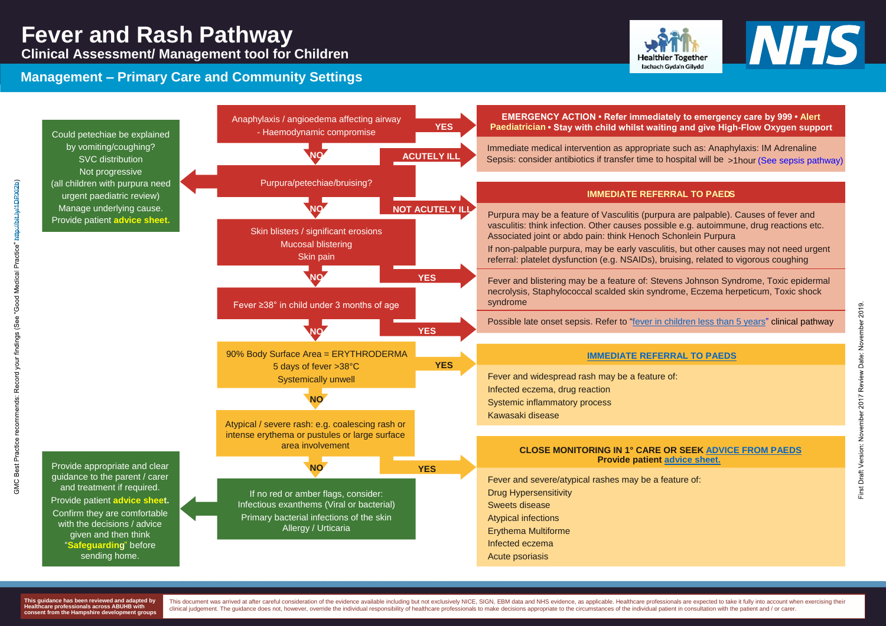# **Fever and Rash Pathway**

**Clinical Assessment/ Management tool for Children**

### **Management – Primary Care and Community Settings**



**Management - Primary Care and Community Settings**



**This guidance has been reviewed and adapted by Healthcare professionals across ABUHB with consent from the Hampshire development groups** This document was arrived at after careful consideration of the evidence available including but not exclusively NICE, SIGN, EBM data and NHS evidence, as applicable. Healthcare professionals are expected to take it fully clinical judgement. The guidance does not, however, override the individual responsibility of healthcare professionals to make decisions appropriate to the circumstances of the individual patient in consultation with the p

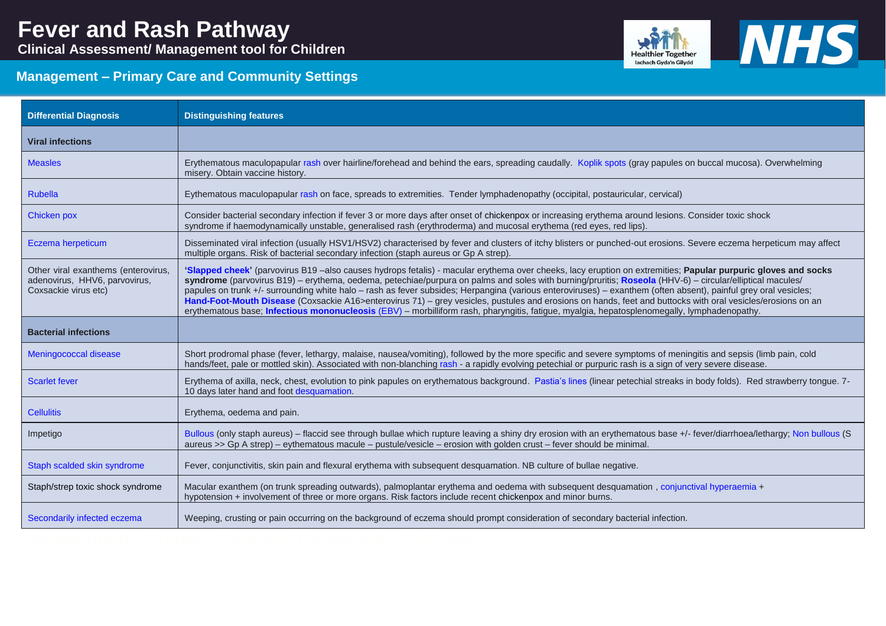**Clinical Assessment/ Management tool for Children**



## **Management – Primary Care and Community Settings**

| <b>Differential Diagnosis</b>                                                                | <b>Distinguishing features</b>                                                                                                                                                                                                                                                                                                                                                                                                                                                                                                                                                                                                                      |
|----------------------------------------------------------------------------------------------|-----------------------------------------------------------------------------------------------------------------------------------------------------------------------------------------------------------------------------------------------------------------------------------------------------------------------------------------------------------------------------------------------------------------------------------------------------------------------------------------------------------------------------------------------------------------------------------------------------------------------------------------------------|
| <b>Viral infections</b>                                                                      |                                                                                                                                                                                                                                                                                                                                                                                                                                                                                                                                                                                                                                                     |
| <b>Measles</b>                                                                               | Erythematous maculopapular rash over hairline/forehead and behind the ears, spreading caudally. Koplik spots (gray papules or<br>misery. Obtain vaccine history.                                                                                                                                                                                                                                                                                                                                                                                                                                                                                    |
| <b>Rubella</b>                                                                               | Eythematous maculopapular rash on face, spreads to extremities. Tender lymphadenopathy (occipital, postauricular, cervical)                                                                                                                                                                                                                                                                                                                                                                                                                                                                                                                         |
| Chicken pox                                                                                  | Consider bacterial secondary infection if fever 3 or more days after onset of chickenpox or increasing erythema around lesions.<br>syndrome if haemodynamically unstable, generalised rash (erythroderma) and mucosal erythema (red eyes, red lips).                                                                                                                                                                                                                                                                                                                                                                                                |
| Eczema herpeticum                                                                            | Disseminated viral infection (usually HSV1/HSV2) characterised by fever and clusters of itchy blisters or punched-out erosions.<br>multiple organs. Risk of bacterial secondary infection (staph aureus or Gp A strep).                                                                                                                                                                                                                                                                                                                                                                                                                             |
| Other viral exanthems (enterovirus,<br>adenovirus, HHV6, parvovirus,<br>Coxsackie virus etc) | 'Slapped cheek' (parvovirus B19-also causes hydrops fetalis) - macular erythema over cheeks, lacy eruption on extremities; F<br>syndrome (parvovirus B19) – erythema, oedema, petechiae/purpura on palms and soles with burning/pruritis; Roseola (HHV-6<br>papules on trunk +/- surrounding white halo - rash as fever subsides; Herpangina (various enteroviruses) - exanthem (often ab<br>Hand-Foot-Mouth Disease (Coxsackie A16>enterovirus 71) – grey vesicles, pustules and erosions on hands, feet and buttock<br>erythematous base; Infectious mononucleosis (EBV) – morbilliform rash, pharyngitis, fatigue, myalgia, hepatosplenomegally, |
|                                                                                              |                                                                                                                                                                                                                                                                                                                                                                                                                                                                                                                                                                                                                                                     |
| <b>Bacterial infections</b>                                                                  |                                                                                                                                                                                                                                                                                                                                                                                                                                                                                                                                                                                                                                                     |
| Meningococcal disease                                                                        | Short prodromal phase (fever, lethargy, malaise, nausea/vomiting), followed by the more specific and severe symptoms of meni<br>hands/feet, pale or mottled skin). Associated with non-blanching rash - a rapidly evolving petechial or purpuric rash is a sign of v                                                                                                                                                                                                                                                                                                                                                                                |
| <b>Scarlet fever</b>                                                                         | Erythema of axilla, neck, chest, evolution to pink papules on erythematous background. Pastia's lines (linear petechial streaks i<br>10 days later hand and foot desquamation.                                                                                                                                                                                                                                                                                                                                                                                                                                                                      |
| <b>Cellulitis</b>                                                                            | Erythema, oedema and pain.                                                                                                                                                                                                                                                                                                                                                                                                                                                                                                                                                                                                                          |
| Impetigo                                                                                     | Bullous (only staph aureus) – flaccid see through bullae which rupture leaving a shiny dry erosion with an erythematous base +/<br>aureus >> Gp A strep) - eythematous macule - pustule/vesicle - erosion with golden crust - fever should be minimal.                                                                                                                                                                                                                                                                                                                                                                                              |
| Staph scalded skin syndrome                                                                  | Fever, conjunctivitis, skin pain and flexural erythema with subsequent desquamation. NB culture of bullae negative.                                                                                                                                                                                                                                                                                                                                                                                                                                                                                                                                 |
| Staph/strep toxic shock syndrome                                                             | Macular exanthem (on trunk spreading outwards), palmoplantar erythema and oedema with subsequent desquamation, conjun<br>hypotension + involvement of three or more organs. Risk factors include recent chickenpox and minor burns.                                                                                                                                                                                                                                                                                                                                                                                                                 |



ules on buccal mucosa)[.](https://www.what0-18.nhs.uk/application/files/2915/2719/1092/Koplik_spots.jpg) Overwhelming

ions. Consider toxic shock

ions. Severe eczema herpeticum may affect

**Papular purpuric gloves and socks** is and socks fetalism on the macular purpular purporter cheeks **IHV-6) – circular/elliptical macules/** en absent), painful grey oral vesicles; Ittocks with oral vesicles/erosions on an jally, lymphadenopathy.

meningitis and sepsis (limb pain, cold n of very severe disease.

eaks in body folds). Red strawberry tongue. 7-

Impetigo **Bulland and state state see through see through and rupture interpretatous** interpretatous in the see th

Staphia shoper in thouse should should send the manufestrunk serves in the subsequent to the subsequent to the<br>Internal designed and on the subset of the subsequent designed and the subsequential hypothemanties on the sub